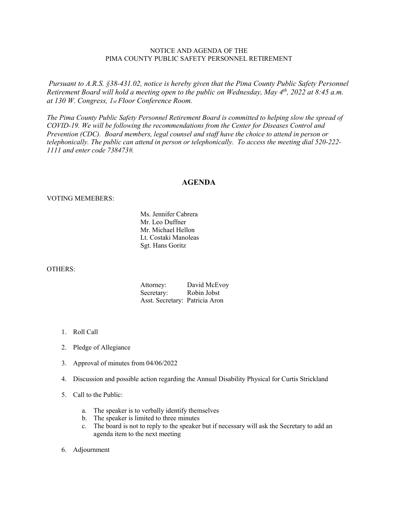## NOTICE AND AGENDA OF THE PIMA COUNTY PUBLIC SAFETY PERSONNEL RETIREMENT

*Pursuant to A.R.S. §38-431.02, notice is hereby given that the Pima County Public Safety Personnel Retirement Board will hold a meeting open to the public on Wednesday, May 4th, 2022 at 8:45 a.m. at 130 W. Congress, 1st Floor Conference Room.*

*The Pima County Public Safety Personnel Retirement Board is committed to helping slow the spread of COVID-19. We will be following the recommendations from the Center for Diseases Control and Prevention (CDC). Board members, legal counsel and staff have the choice to attend in person or telephonically. The public can attend in person or telephonically. To access the meeting dial 520-222- 1111 and enter code 738473#.*

## **AGENDA**

## VOTING MEMEBERS:

Ms. Jennifer Cabrera Mr. Leo Duffner Mr. Michael Hellon Lt. Costaki Manoleas Sgt. Hans Goritz

## OTHERS:

| Attorney:                      | David McEvoy |
|--------------------------------|--------------|
| Secretary:                     | Robin Jobst  |
| Asst. Secretary: Patricia Aron |              |

- 1. Roll Call
- 2. Pledge of Allegiance
- 3. Approval of minutes from 04/06/2022
- 4. Discussion and possible action regarding the Annual Disability Physical for Curtis Strickland
- 5. Call to the Public:
	- a. The speaker is to verbally identify themselves
	- b. The speaker is limited to three minutes
	- c. The board is not to reply to the speaker but if necessary will ask the Secretary to add an agenda item to the next meeting
- 6. Adjournment